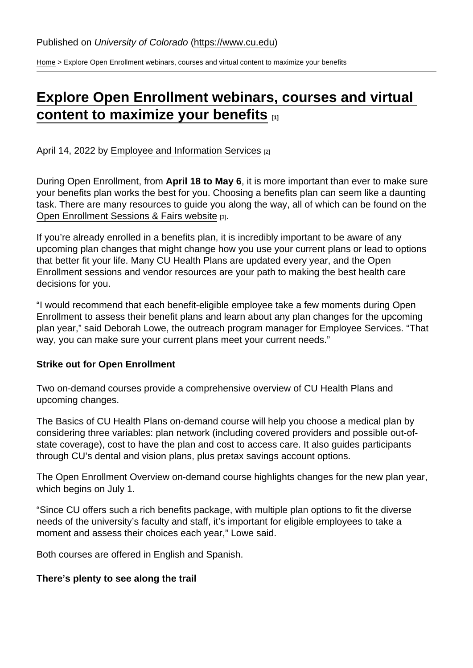[Home](https://www.cu.edu/) > Explore Open Enrollment webinars, courses and virtual content to maximize your benefits

# [Explore Open Enrollment webinars, courses and virtual](https://www.cu.edu/blog/work-life/explore-open-enrollment-webinars-courses-and-virtual-content-maximize-your-benefits)  [content to maximize your benefits](https://www.cu.edu/blog/work-life/explore-open-enrollment-webinars-courses-and-virtual-content-maximize-your-benefits)  $\frac{1}{11}$

April 14, 2022 by [Employee and Information Services](https://www.cu.edu/blog/work-life/author/76185) [2]

During Open Enrollment, from April 18 to May 6 , it is more important than ever to make sure your benefits plan works the best for you. Choosing a benefits plan can seem like a daunting task. There are many resources to guide you along the way, all of which can be found on the [Open Enrollment Sessions & Fairs website](https://www.cu.edu/employee-services/open-enrollment-sessions-fairs) [3].

If you're already enrolled in a benefits plan, it is incredibly important to be aware of any upcoming plan changes that might change how you use your current plans or lead to options that better fit your life. Many CU Health Plans are updated every year, and the Open Enrollment sessions and vendor resources are your path to making the best health care decisions for you.

"I would recommend that each benefit-eligible employee take a few moments during Open Enrollment to assess their benefit plans and learn about any plan changes for the upcoming plan year," said Deborah Lowe, the outreach program manager for Employee Services. "That way, you can make sure your current plans meet your current needs."

Strike out for Open Enrollment

Two on-demand courses provide a comprehensive overview of CU Health Plans and upcoming changes.

The Basics of CU Health Plans on-demand course will help you choose a medical plan by considering three variables: plan network (including covered providers and possible out-ofstate coverage), cost to have the plan and cost to access care. It also guides participants through CU's dental and vision plans, plus pretax savings account options.

The Open Enrollment Overview on-demand course highlights changes for the new plan year, which begins on July 1.

"Since CU offers such a rich benefits package, with multiple plan options to fit the diverse needs of the university's faculty and staff, it's important for eligible employees to take a moment and assess their choices each year," Lowe said.

Both courses are offered in English and Spanish.

There's plenty to see along the trail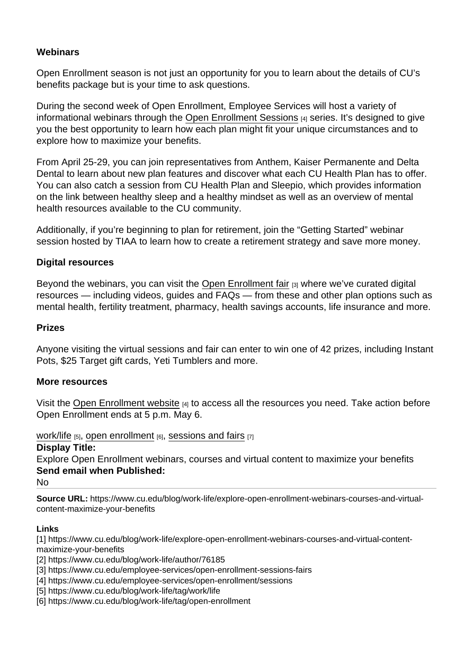## **Webinars**

Open Enrollment season is not just an opportunity for you to learn about the details of CU's benefits package but is your time to ask questions.

During the second week of Open Enrollment, Employee Services will host a variety of informational webinars through the [Open Enrollment Sessions](https://www.cu.edu/employee-services/open-enrollment/sessions) [4] series. It's designed to give you the best opportunity to learn how each plan might fit your unique circumstances and to explore how to maximize your benefits.

From April 25-29, you can join representatives from Anthem, Kaiser Permanente and Delta Dental to learn about new plan features and discover what each CU Health Plan has to offer. You can also catch a session from CU Health Plan and Sleepio, which provides information on the link between healthy sleep and a healthy mindset as well as an overview of mental health resources available to the CU community.

Additionally, if you're beginning to plan for retirement, join the "Getting Started" webinar session hosted by TIAA to learn how to create a retirement strategy and save more money.

## Digital resources

Beyond the webinars, you can visit the [Open Enrollment fair](https://www.cu.edu/employee-services/open-enrollment-sessions-fairs) [3] where we've curated digital resources — including videos, guides and FAQs — from these and other plan options such as mental health, fertility treatment, pharmacy, health savings accounts, life insurance and more.

## Prizes

Anyone visiting the virtual sessions and fair can enter to win one of 42 prizes, including Instant Pots, \$25 Target gift cards, Yeti Tumblers and more.

#### More resources

Visit the [Open Enrollment website](https://www.cu.edu/employee-services/open-enrollment/sessions)  $[4]$  to access all the resources you need. Take action before Open Enrollment ends at 5 p.m. May 6.

[work/life](https://www.cu.edu/blog/work-life/tag/work/life)  $[5]$ , [open enrollment](https://www.cu.edu/blog/work-life/tag/open-enrollment)  $[6]$ , [sessions and fairs](https://www.cu.edu/blog/work-life/tag/sessions-and-fairs)  $[7]$ 

Display Title:

Explore Open Enrollment webinars, courses and virtual content to maximize your benefits Send email when Published:

No

Source URL: https://www.cu.edu/blog/work-life/explore-open-enrollment-webinars-courses-and-virtualcontent-maximize-your-benefits

Links

[1] https://www.cu.edu/blog/work-life/explore-open-enrollment-webinars-courses-and-virtual-contentmaximize-your-benefits

[2] https://www.cu.edu/blog/work-life/author/76185

[3] https://www.cu.edu/employee-services/open-enrollment-sessions-fairs

[4] https://www.cu.edu/employee-services/open-enrollment/sessions

[5] https://www.cu.edu/blog/work-life/tag/work/life

[6] https://www.cu.edu/blog/work-life/tag/open-enrollment